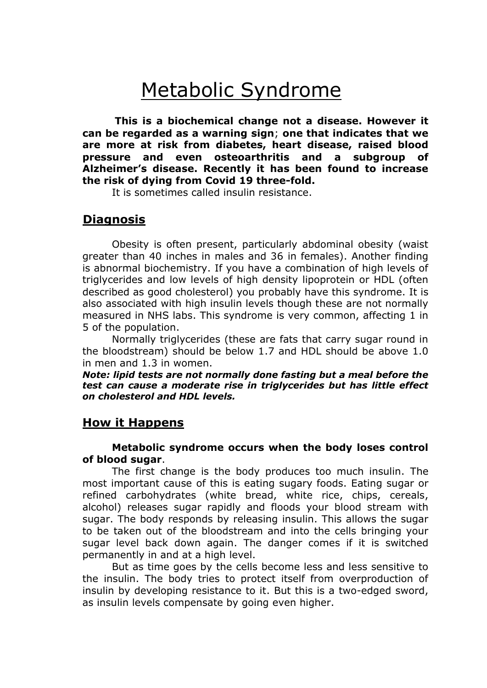# Metabolic Syndrome

**This is a biochemical change not a disease. However it can be regarded as a warning sign**; **one that indicates that we are more at risk from diabetes, heart disease, raised blood pressure and even osteoarthritis and a subgroup of Alzheimer's disease. Recently it has been found to increase the risk of dying from Covid 19 three-fold.**

It is sometimes called insulin resistance.

## **Diagnosis**

Obesity is often present, particularly abdominal obesity (waist greater than 40 inches in males and 36 in females). Another finding is abnormal biochemistry. If you have a combination of high levels of triglycerides and low levels of high density lipoprotein or HDL (often described as good cholesterol) you probably have this syndrome. It is also associated with high insulin levels though these are not normally measured in NHS labs. This syndrome is very common, affecting 1 in 5 of the population.

Normally triglycerides (these are fats that carry sugar round in the bloodstream) should be below 1.7 and HDL should be above 1.0 in men and 1.3 in women.

*Note: lipid tests are not normally done fasting but a meal before the test can cause a moderate rise in triglycerides but has little effect on cholesterol and HDL levels.*

### **How it Happens**

#### **Metabolic syndrome occurs when the body loses control of blood sugar**.

The first change is the body produces too much insulin. The most important cause of this is eating sugary foods. Eating sugar or refined carbohydrates (white bread, white rice, chips, cereals, alcohol) releases sugar rapidly and floods your blood stream with sugar. The body responds by releasing insulin. This allows the sugar to be taken out of the bloodstream and into the cells bringing your sugar level back down again. The danger comes if it is switched permanently in and at a high level.

But as time goes by the cells become less and less sensitive to the insulin. The body tries to protect itself from overproduction of insulin by developing resistance to it. But this is a two-edged sword, as insulin levels compensate by going even higher.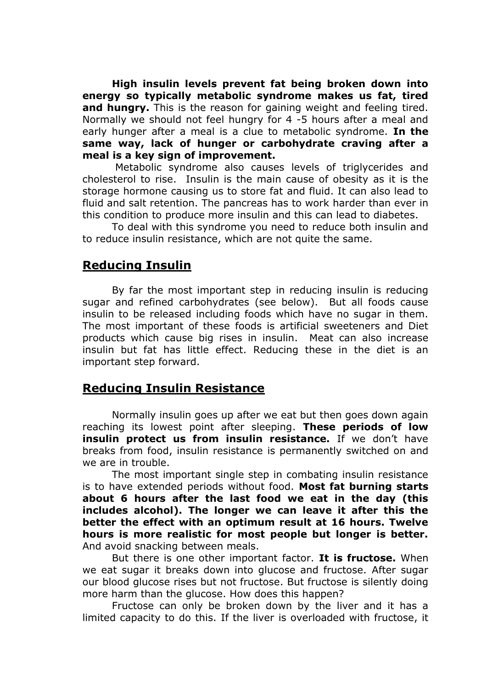**High insulin levels prevent fat being broken down into energy so typically metabolic syndrome makes us fat, tired and hungry.** This is the reason for gaining weight and feeling tired. Normally we should not feel hungry for 4 -5 hours after a meal and early hunger after a meal is a clue to metabolic syndrome. **In the same way, lack of hunger or carbohydrate craving after a meal is a key sign of improvement.**

Metabolic syndrome also causes levels of triglycerides and cholesterol to rise. Insulin is the main cause of obesity as it is the storage hormone causing us to store fat and fluid. It can also lead to fluid and salt retention. The pancreas has to work harder than ever in this condition to produce more insulin and this can lead to diabetes.

To deal with this syndrome you need to reduce both insulin and to reduce insulin resistance, which are not quite the same.

# **Reducing Insulin**

By far the most important step in reducing insulin is reducing sugar and refined carbohydrates (see below). But all foods cause insulin to be released including foods which have no sugar in them. The most important of these foods is artificial sweeteners and Diet products which cause big rises in insulin. Meat can also increase insulin but fat has little effect. Reducing these in the diet is an important step forward.

## **Reducing Insulin Resistance**

Normally insulin goes up after we eat but then goes down again reaching its lowest point after sleeping. **These periods of low insulin protect us from insulin resistance.** If we don't have breaks from food, insulin resistance is permanently switched on and we are in trouble.

The most important single step in combating insulin resistance is to have extended periods without food. **Most fat burning starts about 6 hours after the last food we eat in the day (this includes alcohol). The longer we can leave it after this the better the effect with an optimum result at 16 hours. Twelve hours is more realistic for most people but longer is better.** And avoid snacking between meals.

But there is one other important factor. **It is fructose.** When we eat sugar it breaks down into glucose and fructose. After sugar our blood glucose rises but not fructose. But fructose is silently doing more harm than the glucose. How does this happen?

Fructose can only be broken down by the liver and it has a limited capacity to do this. If the liver is overloaded with fructose, it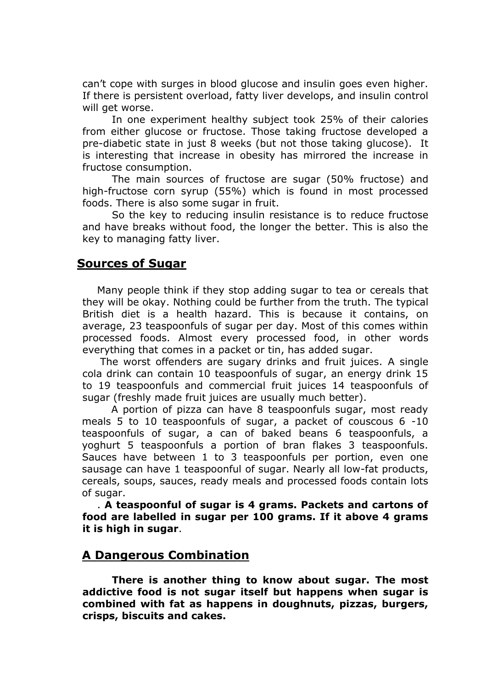can't cope with surges in blood glucose and insulin goes even higher. If there is persistent overload, fatty liver develops, and insulin control will get worse.

In one experiment healthy subject took 25% of their calories from either glucose or fructose. Those taking fructose developed a pre-diabetic state in just 8 weeks (but not those taking glucose). It is interesting that increase in obesity has mirrored the increase in fructose consumption.

The main sources of fructose are sugar (50% fructose) and high-fructose corn syrup (55%) which is found in most processed foods. There is also some sugar in fruit.

So the key to reducing insulin resistance is to reduce fructose and have breaks without food, the longer the better. This is also the key to managing fatty liver.

## **Sources of Sugar**

Many people think if they stop adding sugar to tea or cereals that they will be okay. Nothing could be further from the truth. The typical British diet is a health hazard. This is because it contains, on average, 23 teaspoonfuls of sugar per day. Most of this comes within processed foods. Almost every processed food, in other words everything that comes in a packet or tin, has added sugar.

 The worst offenders are sugary drinks and fruit juices. A single cola drink can contain 10 teaspoonfuls of sugar, an energy drink 15 to 19 teaspoonfuls and commercial fruit juices 14 teaspoonfuls of sugar (freshly made fruit juices are usually much better).

A portion of pizza can have 8 teaspoonfuls sugar, most ready meals 5 to 10 teaspoonfuls of sugar, a packet of couscous 6 -10 teaspoonfuls of sugar, a can of baked beans 6 teaspoonfuls, a yoghurt 5 teaspoonfuls a portion of bran flakes 3 teaspoonfuls. Sauces have between 1 to 3 teaspoonfuls per portion, even one sausage can have 1 teaspoonful of sugar. Nearly all low-fat products, cereals, soups, sauces, ready meals and processed foods contain lots of sugar.

. **A teaspoonful of sugar is 4 grams. Packets and cartons of food are labelled in sugar per 100 grams. If it above 4 grams it is high in sugar**.

# **A Dangerous Combination**

**There is another thing to know about sugar. The most addictive food is not sugar itself but happens when sugar is combined with fat as happens in doughnuts, pizzas, burgers, crisps, biscuits and cakes.**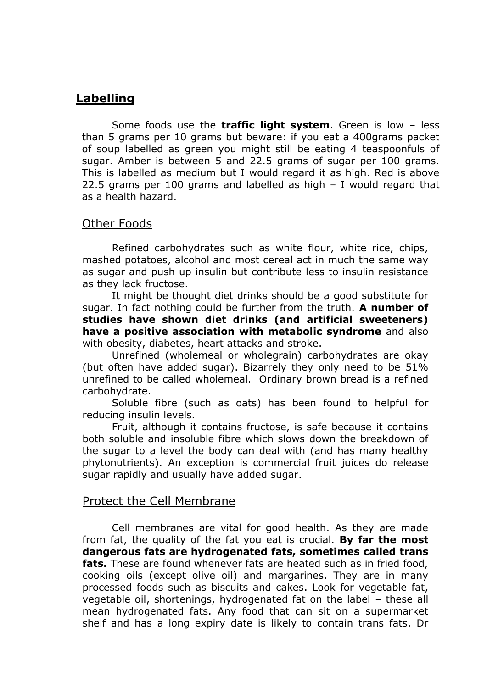# **Labelling**

Some foods use the **traffic light system**. Green is low – less than 5 grams per 10 grams but beware: if you eat a 400grams packet of soup labelled as green you might still be eating 4 teaspoonfuls of sugar. Amber is between 5 and 22.5 grams of sugar per 100 grams. This is labelled as medium but I would regard it as high. Red is above 22.5 grams per 100 grams and labelled as high – I would regard that as a health hazard.

## Other Foods

Refined carbohydrates such as white flour, white rice, chips, mashed potatoes, alcohol and most cereal act in much the same way as sugar and push up insulin but contribute less to insulin resistance as they lack fructose.

It might be thought diet drinks should be a good substitute for sugar. In fact nothing could be further from the truth. **A number of studies have shown diet drinks (and artificial sweeteners) have a positive association with metabolic syndrome** and also with obesity, diabetes, heart attacks and stroke.

Unrefined (wholemeal or wholegrain) carbohydrates are okay (but often have added sugar). Bizarrely they only need to be 51% unrefined to be called wholemeal. Ordinary brown bread is a refined carbohydrate.

Soluble fibre (such as oats) has been found to helpful for reducing insulin levels.

Fruit, although it contains fructose, is safe because it contains both soluble and insoluble fibre which slows down the breakdown of the sugar to a level the body can deal with (and has many healthy phytonutrients). An exception is commercial fruit juices do release sugar rapidly and usually have added sugar.

### Protect the Cell Membrane

Cell membranes are vital for good health. As they are made from fat, the quality of the fat you eat is crucial. **By far the most dangerous fats are hydrogenated fats, sometimes called trans fats.** These are found whenever fats are heated such as in fried food, cooking oils (except olive oil) and margarines. They are in many processed foods such as biscuits and cakes. Look for vegetable fat, vegetable oil, shortenings, hydrogenated fat on the label – these all mean hydrogenated fats. Any food that can sit on a supermarket shelf and has a long expiry date is likely to contain trans fats. Dr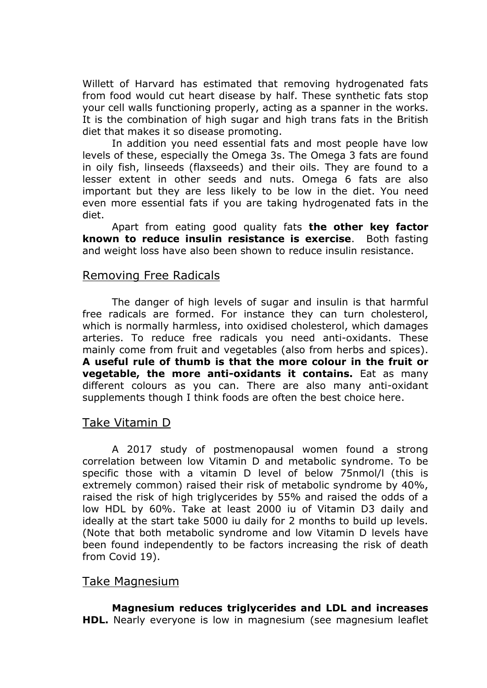Willett of Harvard has estimated that removing hydrogenated fats from food would cut heart disease by half. These synthetic fats stop your cell walls functioning properly, acting as a spanner in the works. It is the combination of high sugar and high trans fats in the British diet that makes it so disease promoting.

In addition you need essential fats and most people have low levels of these, especially the Omega 3s. The Omega 3 fats are found in oily fish, linseeds (flaxseeds) and their oils. They are found to a lesser extent in other seeds and nuts. Omega 6 fats are also important but they are less likely to be low in the diet. You need even more essential fats if you are taking hydrogenated fats in the diet.

Apart from eating good quality fats **the other key factor known to reduce insulin resistance is exercise**. Both fasting and weight loss have also been shown to reduce insulin resistance.

## Removing Free Radicals

The danger of high levels of sugar and insulin is that harmful free radicals are formed. For instance they can turn cholesterol, which is normally harmless, into oxidised cholesterol, which damages arteries. To reduce free radicals you need anti-oxidants. These mainly come from fruit and vegetables (also from herbs and spices). **A useful rule of thumb is that the more colour in the fruit or vegetable, the more anti-oxidants it contains.** Eat as many different colours as you can. There are also many anti-oxidant supplements though I think foods are often the best choice here.

### Take Vitamin D

A 2017 study of postmenopausal women found a strong correlation between low Vitamin D and metabolic syndrome. To be specific those with a vitamin D level of below 75nmol/l (this is extremely common) raised their risk of metabolic syndrome by 40%, raised the risk of high triglycerides by 55% and raised the odds of a low HDL by 60%. Take at least 2000 iu of Vitamin D3 daily and ideally at the start take 5000 iu daily for 2 months to build up levels. (Note that both metabolic syndrome and low Vitamin D levels have been found independently to be factors increasing the risk of death from Covid 19).

## Take Magnesium

**Magnesium reduces triglycerides and LDL and increases HDL.** Nearly everyone is low in magnesium (see magnesium leaflet